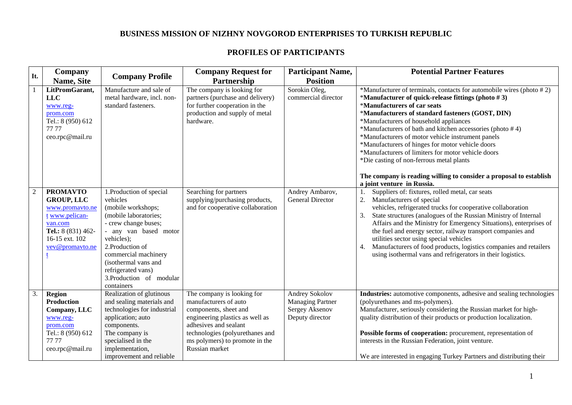## **BUSINESS MISSION OF NIZHNY NOVGOROD ENTERPRISES TO TURKISH REPUBLIC**

## **PROFILES OF PARTICIPANTS**

| It. | Company                                                                                                                                         | <b>Company Profile</b>                                                                                                                                                                                                                                                                 | <b>Company Request for</b>                                                                                                                                                                                                      | <b>Participant Name,</b>                                                       | <b>Potential Partner Features</b>                                                                                                                                                                                                                                                                                                                                                                                                                                                                                                                   |
|-----|-------------------------------------------------------------------------------------------------------------------------------------------------|----------------------------------------------------------------------------------------------------------------------------------------------------------------------------------------------------------------------------------------------------------------------------------------|---------------------------------------------------------------------------------------------------------------------------------------------------------------------------------------------------------------------------------|--------------------------------------------------------------------------------|-----------------------------------------------------------------------------------------------------------------------------------------------------------------------------------------------------------------------------------------------------------------------------------------------------------------------------------------------------------------------------------------------------------------------------------------------------------------------------------------------------------------------------------------------------|
|     | Name, Site                                                                                                                                      |                                                                                                                                                                                                                                                                                        | Partnership                                                                                                                                                                                                                     | <b>Position</b>                                                                |                                                                                                                                                                                                                                                                                                                                                                                                                                                                                                                                                     |
|     | LitPromGarant,<br><b>LLC</b><br>www.reg-<br>prom.com<br>Tel.: 8 (950) 612<br>77 77<br>ceo.rpc@mail.ru                                           | Manufacture and sale of<br>metal hardware, incl. non-<br>standard fasteners.                                                                                                                                                                                                           | The company is looking for<br>partners (purchase and delivery)<br>for further cooperation in the<br>production and supply of metal<br>hardware.                                                                                 | Sorokin Oleg,<br>commercial director                                           | *Manufacturer of terminals, contacts for automobile wires (photo #2)<br>*Manufacturer of quick-release fittings (photo $# 3$ )<br>*Manufacturers of car seats<br>*Manufacturers of standard fasteners (GOST, DIN)<br>*Manufacturers of household appliances<br>*Manufacturers of bath and kitchen accessories (photo #4)<br>*Manufacturers of motor vehicle instrument panels<br>*Manufacturers of hinges for motor vehicle doors<br>*Manufacturers of limiters for motor vehicle doors<br>*Die casting of non-ferrous metal plants                 |
|     |                                                                                                                                                 |                                                                                                                                                                                                                                                                                        |                                                                                                                                                                                                                                 |                                                                                | The company is reading willing to consider a proposal to establish<br>a joint venture in Russia.                                                                                                                                                                                                                                                                                                                                                                                                                                                    |
|     | <b>PROMAVTO</b><br><b>GROUP, LLC</b><br>www.promavto.ne<br>t www.pelican-<br>van.com<br>Tel.: 8 (831) 462-<br>16-15 ext. 102<br>vev@promavto.ne | 1. Production of special<br>vehicles<br>(mobile workshops;<br>(mobile laboratories;<br>- crew change buses;<br>- any van based motor<br>vehicles);<br>2. Production of<br>commercial machinery<br>(isothermal vans and<br>refrigerated vans)<br>3. Production of modular<br>containers | Searching for partners<br>supplying/purchasing products,<br>and for cooperative collaboration                                                                                                                                   | Andrey Ambarov,<br><b>General Director</b>                                     | Suppliers of: fixtures, rolled metal, car seats<br>2.<br>Manufacturers of special<br>vehicles, refrigerated trucks for cooperative collaboration<br>State structures (analogues of the Russian Ministry of Internal<br>3.<br>Affairs and the Ministry for Emergency Situations), enterprises of<br>the fuel and energy sector, railway transport companies and<br>utilities sector using special vehicles<br>Manufacturers of food products, logistics companies and retailers<br>4.<br>using isothermal vans and refrigerators in their logistics. |
| 3.  | <b>Region</b><br><b>Production</b><br>Company, LLC<br>www.reg-<br>prom.com<br>Tel.: 8 (950) 612<br>77 77<br>ceo.rpc@mail.ru                     | Realization of glutinous<br>and sealing materials and<br>technologies for industrial<br>application; auto<br>components.<br>The company is<br>specialised in the<br>implementation,<br>improvement and reliable                                                                        | The company is looking for<br>manufacturers of auto<br>components, sheet and<br>engineering plastics as well as<br>adhesives and sealant<br>technologies (polyurethanes and<br>ms polymers) to promote in the<br>Russian market | Andrey Sokolov<br><b>Managing Partner</b><br>Sergey Aksenov<br>Deputy director | Industries: automotive components, adhesive and sealing technologies<br>(polyurethanes and ms-polymers).<br>Manufacturer, seriously considering the Russian market for high-<br>quality distribution of their products or production localization.<br>Possible forms of cooperation: procurement, representation of<br>interests in the Russian Federation, joint venture.<br>We are interested in engaging Turkey Partners and distributing their                                                                                                  |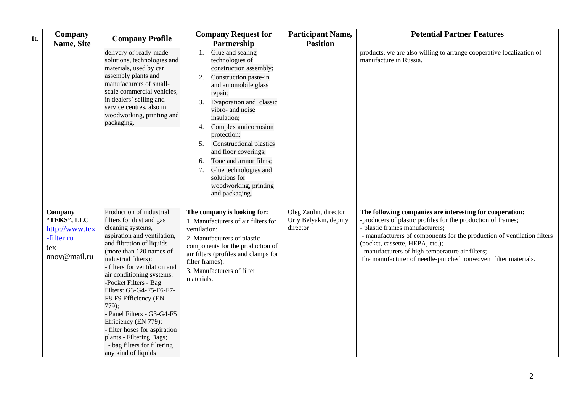| It. | <b>Company</b><br>Name, Site                                                   | <b>Company Profile</b>                                                                                                                                                                                                                                                                                                                                                                                                                                                                                                  | <b>Company Request for</b><br>Partnership                                                                                                                                                                                                                                                                                                                                                                                                   | <b>Participant Name,</b><br><b>Position</b>                | <b>Potential Partner Features</b>                                                                                                                                                                                                                                                                                                                                                              |
|-----|--------------------------------------------------------------------------------|-------------------------------------------------------------------------------------------------------------------------------------------------------------------------------------------------------------------------------------------------------------------------------------------------------------------------------------------------------------------------------------------------------------------------------------------------------------------------------------------------------------------------|---------------------------------------------------------------------------------------------------------------------------------------------------------------------------------------------------------------------------------------------------------------------------------------------------------------------------------------------------------------------------------------------------------------------------------------------|------------------------------------------------------------|------------------------------------------------------------------------------------------------------------------------------------------------------------------------------------------------------------------------------------------------------------------------------------------------------------------------------------------------------------------------------------------------|
|     |                                                                                | delivery of ready-made<br>solutions, technologies and<br>materials, used by car<br>assembly plants and<br>manufacturers of small-<br>scale commercial vehicles,<br>in dealers' selling and<br>service centres, also in<br>woodworking, printing and<br>packaging.                                                                                                                                                                                                                                                       | Glue and sealing<br>1.<br>technologies of<br>construction assembly;<br>Construction paste-in<br>2.<br>and automobile glass<br>repair;<br>Evaporation and classic<br>vibro- and noise<br>insulation;<br>Complex anticorrosion<br>4.<br>protection;<br><b>Constructional plastics</b><br>5.<br>and floor coverings;<br>Tone and armor films;<br>6.<br>Glue technologies and<br>7.<br>solutions for<br>woodworking, printing<br>and packaging. |                                                            | products, we are also willing to arrange cooperative localization of<br>manufacture in Russia.                                                                                                                                                                                                                                                                                                 |
|     | Company<br>"TEKS", LLC<br>http://www.tex<br>-filter.ru<br>tex-<br>nnov@mail.ru | Production of industrial<br>filters for dust and gas<br>cleaning systems,<br>aspiration and ventilation,<br>and filtration of liquids<br>(more than 120 names of<br>industrial filters):<br>- filters for ventilation and<br>air conditioning systems:<br>-Pocket Filters - Bag<br>Filters: G3-G4-F5-F6-F7-<br>F8-F9 Efficiency (EN<br>$779$ ;<br>- Panel Filters - G3-G4-F5<br>Efficiency (EN 779);<br>- filter hoses for aspiration<br>plants - Filtering Bags;<br>- bag filters for filtering<br>any kind of liquids | The company is looking for:<br>1. Manufacturers of air filters for<br>ventilation;<br>2. Manufacturers of plastic<br>components for the production of<br>air filters (profiles and clamps for<br>filter frames);<br>3. Manufacturers of filter<br>materials.                                                                                                                                                                                | Oleg Zaulin, director<br>Uriy Belyakin, deputy<br>director | The following companies are interesting for cooperation:<br>-producers of plastic profiles for the production of frames;<br>- plastic frames manufacturers;<br>- manufacturers of components for the production of ventilation filters<br>(pocket, cassette, HEPA, etc.);<br>- manufacturers of high-temperature air filters;<br>The manufacturer of needle-punched nonwoven filter materials. |